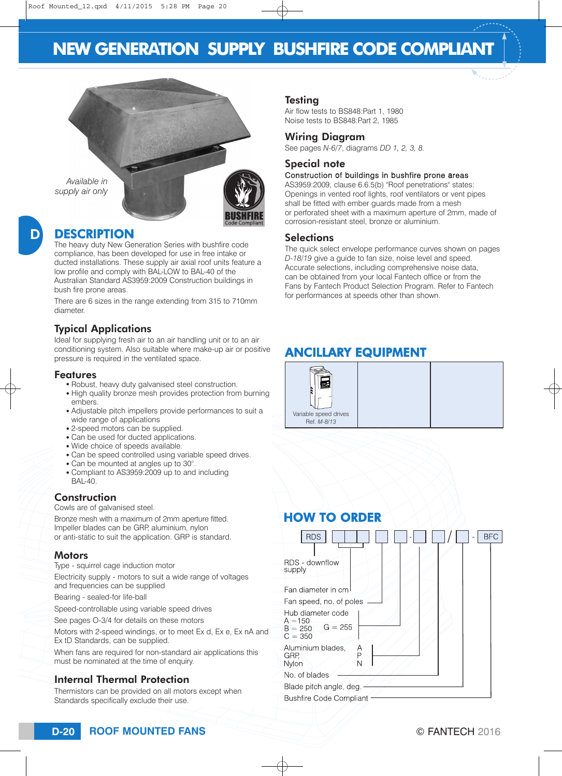# **NEW GENERATION SUPPLY BUSHFIRE CODE COMPLIANT**



*Available in supply air only*



#### DESCRIPTION

The heavy duty New Generation Series with bushfire code compliance, has been developed for use in free intake or ducted installations. These supply air axial roof units feature a low profile and comply with BAL-LOW to BAL-40 of the Australian Standard AS3959:2009 Construction buildings in bush fire prone areas.

There are 6 sizes in the range extending from 315 to 710mm diameter.

#### Typical Applications

Ideal for supplying fresh air to an air handling unit or to an air conditioning system. Also suitable where make-up air or positive pressure is required in the ventilated space.

#### Features

- Robust, heavy duty galvanised steel construction.
- High quality bronze mesh provides protection from burning embers.
- Adjustable pitch impellers provide performances to suit a wide range of applications
- 2-speed motors can be supplied.
- Can be used for ducted applications.
- Wide choice of speeds available.
- Can be speed controlled using variable speed drives.
- Can be mounted at angles up to 30°.
- Compliant to AS3959:2009 up to and including BAL-40.

#### **Construction**

Cowls are of galvanised steel.

Bronze mesh with a maximum of 2mm aperture fitted. Impeller blades can be GRP, aluminium, nylon or anti-static to suit the application. GRP is standard.

#### **Motors**

Type - squirrel cage induction motor

Electricity supply - motors to suit a wide range of voltages and frequencies can be supplied

Bearing - sealed-for life-ball

Speed-controllable using variable speed drives

See pages O-3/4 for details on these motors

Motors with 2-speed windings, or to meet Ex d, Ex e, Ex nA and Ex tD Standards, can be supplied.

When fans are required for non-standard air applications this must be nominated at the time of enquiry.

### Internal Thermal Protection

Thermistors can be provided on all motors except when Standards specifically exclude their use.

#### **Testing**

Air flow tests to BS848:Part 1, 1980 Noise tests to BS848:Part 2, 1985

#### Wiring Diagram

See pages *N-6/7*, diagrams *DD 1, 2, 3, 8.*

#### Special note

#### Construction of buildings in bushfire prone areas

AS3959:2009, clause 6.6.5(b) "Roof penetrations" states: Openings in vented roof lights, roof ventilators or vent pipes shall be fitted with ember guards made from a mesh or perforated sheet with a maximum aperture of 2mm, made of corrosion-resistant steel, bronze or aluminium.

#### **Selections**

The quick select envelope performance curves shown on pages *D-18/19* give a guide to fan size, noise level and speed. Accurate selections, including comprehensive noise data, can be obtained from your local Fantech office or from the Fans by Fantech Product Selection Program. Refer to Fantech for performances at speeds other than shown.

# ANCILLARY EQUIPMENT



| <b>HOW TO ORDER</b>                                                   |  |  |            |
|-----------------------------------------------------------------------|--|--|------------|
| <b>RDS</b>                                                            |  |  | <b>BFC</b> |
| RDS - downflow<br>supply                                              |  |  |            |
| Fan diameter in cm                                                    |  |  |            |
| Fan speed, no. of poles                                               |  |  |            |
| Hub diameter code<br>$A = 150$<br>$G = 255$<br>$B = 250$<br>$C = 350$ |  |  |            |
| Aluminium blades,<br>A<br>P<br>GRP.<br>Ν<br>Nylon                     |  |  |            |
| No. of blades                                                         |  |  |            |
| Blade pitch angle, deg.                                               |  |  |            |
| <b>Bushfire Code Compliant</b>                                        |  |  |            |